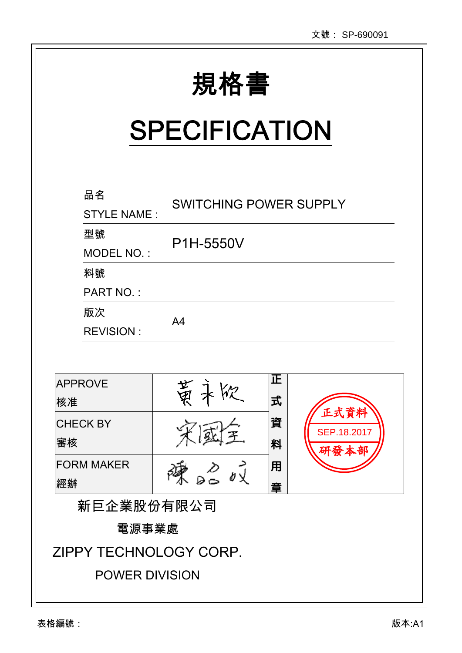| 規格書 |  |  |
|-----|--|--|

Ι

# **SPECIFICATION**

| 品名<br><b>STYLE NAME:</b> | <b>SWITCHING POWER SUPPLY</b> |        |                     |  |  |
|--------------------------|-------------------------------|--------|---------------------|--|--|
| 型號<br>MODEL NO.:         | P1H-5550V                     |        |                     |  |  |
| 料號                       |                               |        |                     |  |  |
| <b>PART NO.:</b>         |                               |        |                     |  |  |
| 版次                       |                               |        |                     |  |  |
| <b>REVISION:</b>         | A <sub>4</sub>                |        |                     |  |  |
| <b>APPROVE</b><br>核准     | 黄                             | 正<br>式 |                     |  |  |
| <b>CHECK BY</b><br>審核    |                               | 資<br>料 | 正式資料<br>SEP.18.2017 |  |  |
| <b>FORM MAKER</b><br> 經辦 |                               | 用<br>音 |                     |  |  |
| 新巨企業股份有限公司               |                               |        |                     |  |  |
| 電源事業處                    |                               |        |                     |  |  |
|                          | ZIPPY TECHNOLOGY CORP.        |        |                     |  |  |
| <b>POWER DIVISION</b>    |                               |        |                     |  |  |
|                          |                               |        |                     |  |  |

 $\overline{a}$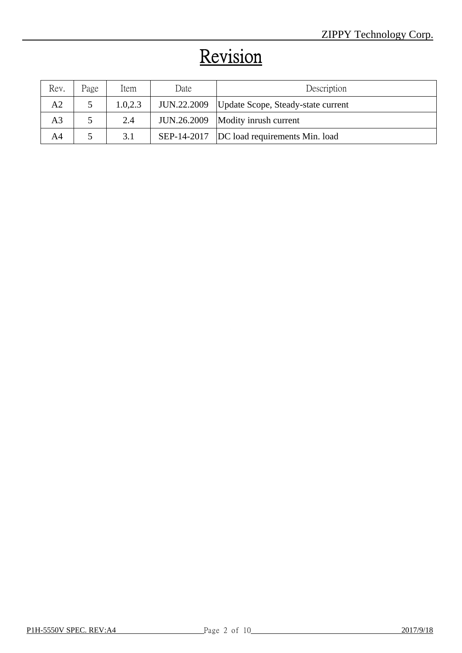# Revision

| Rev.           | Page | Item     | Date        | Description                                 |
|----------------|------|----------|-------------|---------------------------------------------|
| A2             |      | 1.0, 2.3 | JUN.22.2009 | Update Scope, Steady-state current          |
| A <sub>3</sub> |      | 2.4      |             | JUN.26.2009   Modity inrush current         |
| A4             |      | 3.1      |             | SEP-14-2017  DC load requirements Min. load |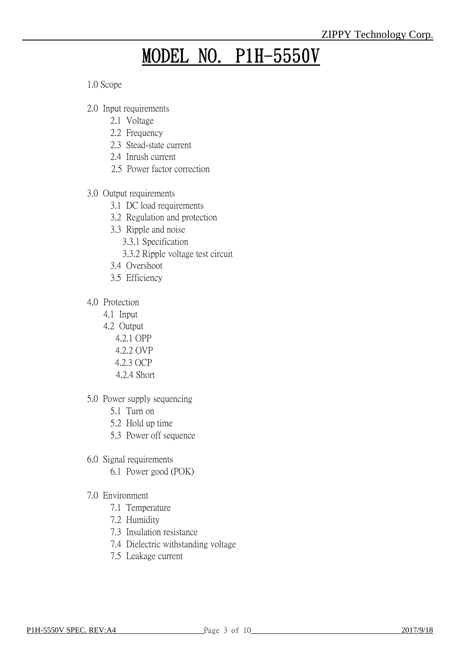## MODEL NO. P1H-5550V

1.0 Scope

- 2.0 Input requirements
	- 2.1 Voltage
	- 2.2 Frequency
	- 2.3 Stead-state current
	- 2.4 Inrush current
	- 2.5 Power factor correction
- 3.0 Output requirements
	- 3.1 DC load requirements
	- 3.2 Regulation and protection
	- 3.3 Ripple and noise
		- 3.3.1 Specification
		- 3.3.2 Ripple voltage test circuit
	- 3.4 Overshoot
	- 3.5 Efficiency
- 4.0 Protection
	- 4.1 Input
	- 4.2 Output
		- 4.2.1 OPP
		- 4.2.2 OVP
		- 4.2.3 OCP
		- 4.2.4 Short
- 5.0 Power supply sequencing
	- 5.1 Turn on
	- 5.2 Hold up time
	- 5.3 Power off sequence
- 6.0 Signal requirements
	- 6.1 Power good (POK)
- 7.0 Environment
	- 7.1 Temperature
	- 7.2 Humidity
	- 7.3 Insulation resistance
	- 7.4 Dielectric withstanding voltage
	- 7.5 Leakage current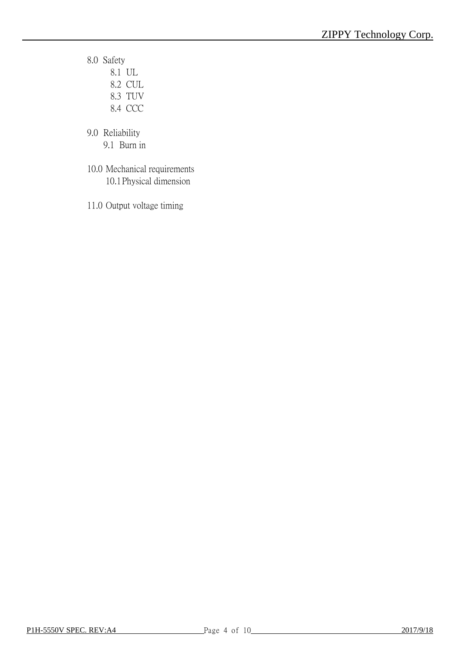- 8.0 Safety
	- 8.1 UL 8.2 CUL
	- 8.3 TUV
	- 8.4 CCC
- 9.0 Reliability
	- 9.1 Burn in
- 10.0 Mechanical requirements 10.1Physical dimension
- 11.0 Output voltage timing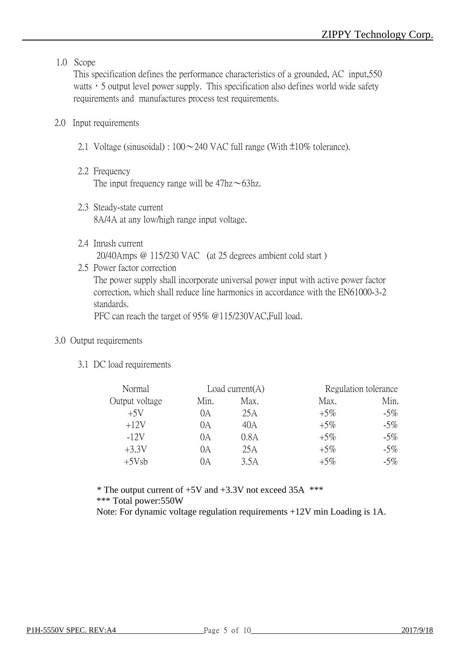#### 1.0 Scope

This specification defines the performance characteristics of a grounded, AC input,550 watts, 5 output level power supply. This specification also defines world wide safety requirements and manufactures process test requirements.

#### 2.0 Input requirements

- 2.1 Voltage (sinusoidal) :  $100 \sim 240$  VAC full range (With  $\pm 10\%$  tolerance).
- 2.2 Frequency The input frequency range will be  $47\text{hz} \sim 63\text{hz}$ .
- 2.3 Steady-state current 8A/4A at any low/high range input voltage.
- 2.4 Inrush current 20/40Amps @ 115/230 VAC (at 25 degrees ambient cold start )
- 2.5 Power factor correction The power supply shall incorporate universal power input with active power factor correction, which shall reduce line harmonics in accordance with the EN61000-3-2 standards.

PFC can reach the target of 95% @115/230VAC,Full load.

#### 3.0 Output requirements

3.1 DC load requirements

| Normal         |      | Load current $(A)$ |        | Regulation tolerance |
|----------------|------|--------------------|--------|----------------------|
| Output voltage | Min. | Max.               | Max.   | Min.                 |
| $+5V$          | 0А   | 25 A               | $+5\%$ | $-5\%$               |
| $+12V$         | 0А   | 40A                | $+5\%$ | $-5\%$               |
| $-12V$         | 0A   | 0.8A               | $+5\%$ | $-5\%$               |
| $+3.3V$        | 0A   | 25A                | $+5\%$ | $-5\%$               |
| $+5Vsb$        | DА   | 3.5A               | $+5\%$ | $-5\%$               |

 $*$  The output current of  $+5V$  and  $+3.3V$  not exceed 35A  $***$ \*\*\* Total power:550W

Note: For dynamic voltage regulation requirements +12V min Loading is 1A.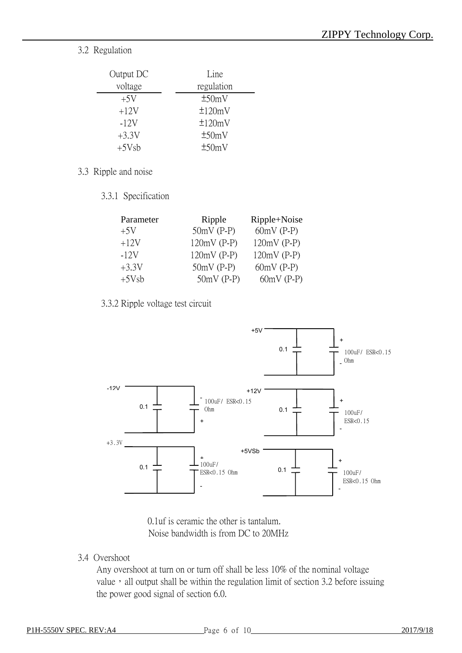3.2 Regulation

| Output DC | Line       |
|-----------|------------|
| voltage   | regulation |
| $+5V$     | ±50mV      |
| $+12V$    | ±120mV     |
| $-12V$    | ±120mV     |
| $+3.3V$   | ±50mV      |
| $+5Vsb$   | ±50mV      |

- 3.3 Ripple and noise
	- 3.3.1 Specification

| Parameter | Ripple        | Ripple+Noise  |  |
|-----------|---------------|---------------|--|
| $+5V$     | $50mV$ (P-P)  | $60mV$ (P-P)  |  |
| $+12V$    | $120mV$ (P-P) | $120mV$ (P-P) |  |
| $-12V$    | $120mV$ (P-P) | $120mV$ (P-P) |  |
| $+3.3V$   | $50mV$ (P-P)  | $60mV$ (P-P)  |  |
| $+5Vsb$   | $50mV$ (P-P)  | $60mV$ (P-P)  |  |

3.3.2 Ripple voltage test circuit



0.1uf is ceramic the other is tantalum. Noise bandwidth is from DC to 20MHz

3.4 Overshoot

Any overshoot at turn on or turn off shall be less 10% of the nominal voltage value, all output shall be within the regulation limit of section 3.2 before issuing the power good signal of section 6.0.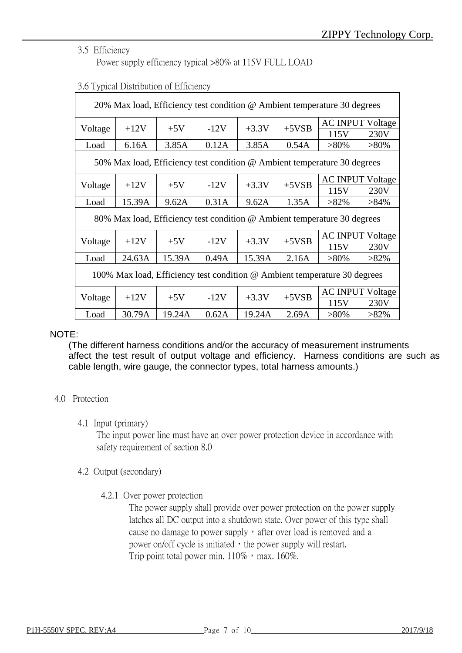#### 3.5 Efficiency

Power supply efficiency typical >80% at 115V FULL LOAD

| 20% Max load, Efficiency test condition @ Ambient temperature 30 degrees  |        |        |        |         |                         |                                                                          |         |
|---------------------------------------------------------------------------|--------|--------|--------|---------|-------------------------|--------------------------------------------------------------------------|---------|
|                                                                           |        |        |        |         | <b>AC INPUT Voltage</b> |                                                                          |         |
| Voltage                                                                   | $+12V$ | $+5V$  | $-12V$ | $+3.3V$ | $+5VSB$                 | 115V                                                                     | 230V    |
| Load                                                                      | 6.16A  | 3.85A  | 0.12A  | 3.85A   | 0.54A                   | $>80\%$                                                                  | $>80\%$ |
|                                                                           |        |        |        |         |                         | 50% Max load, Efficiency test condition @ Ambient temperature 30 degrees |         |
|                                                                           | $+12V$ | $+5V$  | $-12V$ | $+3.3V$ |                         | <b>AC INPUT Voltage</b>                                                  |         |
| Voltage                                                                   |        |        |        |         | $+5VSB$                 | 115V                                                                     | 230V    |
| Load                                                                      | 15.39A | 9.62A  | 0.31A  | 9.62A   | 1.35A                   | $>82\%$                                                                  | $>84\%$ |
|                                                                           |        |        |        |         |                         | 80% Max load, Efficiency test condition @ Ambient temperature 30 degrees |         |
|                                                                           |        |        |        |         |                         | <b>AC INPUT Voltage</b>                                                  |         |
| Voltage                                                                   | $+12V$ | $+5V$  | $-12V$ | $+3.3V$ | $+5VSB$                 | 115V                                                                     | 230V    |
| Load                                                                      | 24.63A | 15.39A | 0.49A  | 15.39A  | 2.16A                   | $>80\%$                                                                  | $>82\%$ |
| 100% Max load, Efficiency test condition @ Ambient temperature 30 degrees |        |        |        |         |                         |                                                                          |         |
|                                                                           |        |        |        |         | $+5VSB$                 | <b>AC INPUT Voltage</b>                                                  |         |
| Voltage                                                                   | $+12V$ | $+5V$  | $-12V$ | $+3.3V$ |                         | 115V                                                                     | 230V    |
| Load                                                                      | 30.79A | 19.24A | 0.62A  | 19.24A  | 2.69A                   | $>80\%$                                                                  | $>82\%$ |

#### 3.6 Typical Distribution of Efficiency

#### NOTE:

(The different harness conditions and/or the accuracy of measurement instruments affect the test result of output voltage and efficiency. Harness conditions are such as cable length, wire gauge, the connector types, total harness amounts.)

#### 4.0 Protection

#### 4.1 Input (primary)

The input power line must have an over power protection device in accordance with safety requirement of section 8.0

#### 4.2 Output (secondary)

4.2.1 Over power protection

The power supply shall provide over power protection on the power supply latches all DC output into a shutdown state. Over power of this type shall cause no damage to power supply, after over load is removed and a power on/off cycle is initiated, the power supply will restart. Trip point total power min.  $110\%$ , max.  $160\%$ .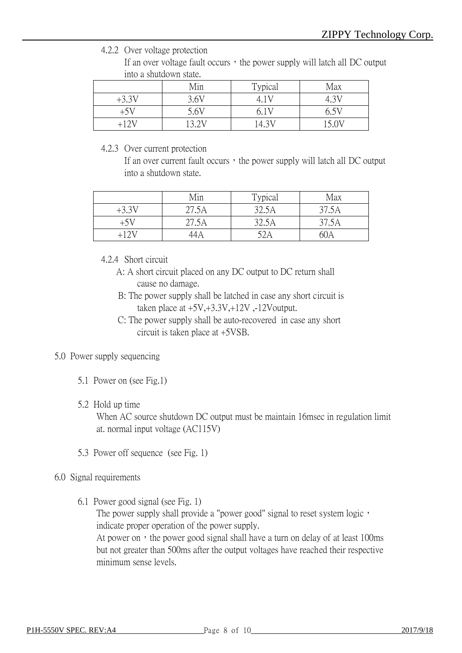4.2.2 Over voltage protection

If an over voltage fault occurs, the power supply will latch all DC output into a shutdown state.

|         | Min  | Typical | Max       |
|---------|------|---------|-----------|
| $+3.3V$ | 3.6V |         | $4.3^{V}$ |
| +5V     | 5.6V |         | 6.5V      |
| -12V    |      | 14.3V   |           |

#### 4.2.3 Over current protection

If an over current fault occurs, the power supply will latch all  $DC$  output into a shutdown state.

|         | Min   | Typical | Max   |
|---------|-------|---------|-------|
| $+3.31$ | 27.5A | 32.5A   | 37.5A |
| $+5V$   | 27.5A | 32.5A   | 37.5A |
|         | 14A   | 52A     | 60A   |

4.2.4 Short circuit

- A: A short circuit placed on any DC output to DC return shall cause no damage.
- B: The power supply shall be latched in case any short circuit is taken place at  $+5V, +3.3V, +12V, -12V$ output.
- C: The power supply shall be auto-recovered in case any short c. The power suppry shall be allowed.

#### 5.0 Power supply sequencing

5.1 Power on (see Fig.1)

#### 5.2 Hold up time

When AC source shutdown DC output must be maintain 16msec in regulation limit at. normal input voltage (AC115V)

5.3 Power off sequence (see Fig. 1)

#### 6.0 Signal requirements

6.1 Power good signal (see Fig. 1)

The power supply shall provide a "power good" signal to reset system logic, indicate proper operation of the power supply.

At power on, the power good signal shall have a turn on delay of at least 100ms but not greater than 500ms after the output voltages have reached their respective minimum sense levels.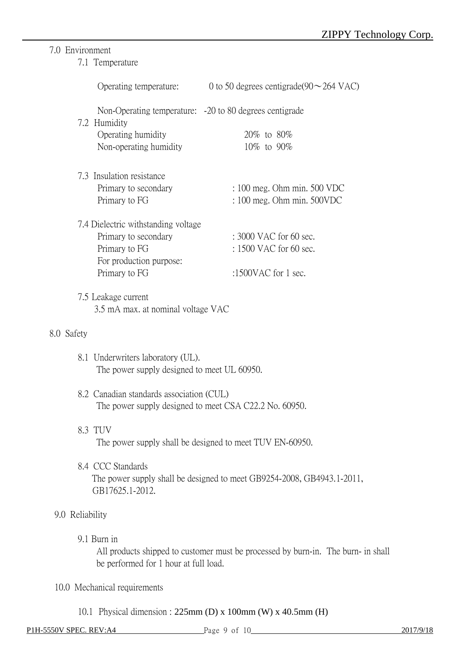### 7.0 Environment

7.1 Temperature

|                 |                                                                                                                          | Operating temperature: 0 to 50 degrees centigrade(90 $\sim$ 264 VAC)              |
|-----------------|--------------------------------------------------------------------------------------------------------------------------|-----------------------------------------------------------------------------------|
|                 | Non-Operating temperature: -20 to 80 degrees centigrade<br>7.2 Humidity<br>Operating humidity<br>Non-operating humidity  | 20\% to 80\%<br>10\% to 90\%                                                      |
|                 | 7.3 Insulation resistance<br>Primary to secondary<br>Primary to FG                                                       | $: 100$ meg. Ohm min. 500 VDC<br>$: 100$ meg. Ohm min. $500VDC$                   |
|                 | 7.4 Dielectric withstanding voltage<br>Primary to secondary<br>Primary to FG<br>For production purpose:<br>Primary to FG | $: 3000$ VAC for 60 sec.<br>: 1500 VAC for 60 sec.<br>:1500VAC for 1 sec.         |
|                 | 7.5 Leakage current<br>3.5 mA max. at nominal voltage VAC                                                                |                                                                                   |
| 8.0 Safety      |                                                                                                                          |                                                                                   |
|                 | 8.1 Underwriters laboratory (UL).<br>The power supply designed to meet UL 60950.                                         |                                                                                   |
|                 | 8.2 Canadian standards association (CUL)<br>The power supply designed to meet CSA C22.2 No. 60950.                       |                                                                                   |
|                 | 8.3 TUV                                                                                                                  | The power supply shall be designed to meet TUV EN-60950.                          |
|                 | 8.4 CCC Standards<br>GB17625.1-2012.                                                                                     | The power supply shall be designed to meet GB9254-2008, GB4943.1-2011,            |
| 9.0 Reliability |                                                                                                                          |                                                                                   |
|                 | 9.1 Burn in<br>be performed for 1 hour at full load.                                                                     | All products shipped to customer must be processed by burn-in. The burn- in shall |

10.0 Mechanical requirements

10.1 Physical dimension : 225mm (D) x 100mm (W) x 40.5mm (H)